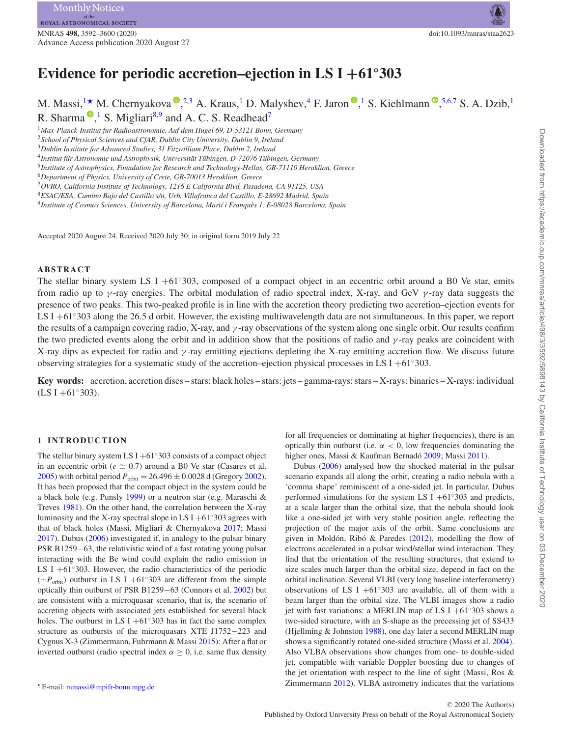# **Evidence for periodic accretion–ejection in LS I +61◦303**

M. Massi[,](http://orcid.org/0000-0001-6314-9177)<sup>1\*</sup> M. Chernyakova <sup>(0</sup>,<sup>[2](#page-0-2)[,3](#page-0-3)</sup> A. Kraus,<sup>[1](#page-0-0)</sup> D. Malyshev,<sup>4</sup> F. Jaron <sup>(0</sup>,<sup>1</sup> S. Kiehlmann <sup>(0</sup>,<sup>[5,](#page-0-5)[6,](#page-0-6)[7](#page-0-7)</sup> S. A. Dzib,<sup>1</sup>) R. Sharma  $\mathbb{P}$ [,](http://orcid.org/0000-0001-8831-3463)<sup>[1](#page-0-0)</sup> S. Migliari<sup>8[,9](#page-0-9)</sup> and A. C. S. Readhead<sup>7</sup>

<span id="page-0-0"></span><sup>1</sup>Max-Planck-Institut für Radioastronomie, Auf dem Hügel 69, D-53121 Bonn, Germany

<span id="page-0-2"></span><sup>2</sup>*School of Physical Sciences and CfAR, Dublin City University, Dublin 9, Ireland*

<span id="page-0-7"></span><sup>7</sup>*OVRO, California Institute of Technology, 1216 E California Blvd, Pasadena, CA 91125, USA*

<span id="page-0-8"></span><sup>8</sup>*ESAC/ESA, Camino Bajo del Castillo s/n, Urb. Villafranca del Castillo, E-28692 Madrid, Spain*

<span id="page-0-9"></span><sup>9</sup>*Institute of Cosmos Sciences, University of Barcelona, Mart´ı i Franques 1, E-08028 Barcelona, Spain `*

Accepted 2020 August 24. Received 2020 July 30; in original form 2019 July 22

## **ABSTRACT**

The stellar binary system LS I +61 $\degree$ 303, composed of a compact object in an eccentric orbit around a B0 Ve star, emits from radio up to *γ* -ray energies. The orbital modulation of radio spectral index, X-ray, and GeV *γ* -ray data suggests the presence of two peaks. This two-peaked profile is in line with the accretion theory predicting two accretion–ejection events for LS I +61◦303 along the 26.5 d orbit. However, the existing multiwavelength data are not simultaneous. In this paper, we report the results of a campaign covering radio, X-ray, and *γ* -ray observations of the system along one single orbit. Our results confirm the two predicted events along the orbit and in addition show that the positions of radio and *γ* -ray peaks are coincident with X-ray dips as expected for radio and *γ* -ray emitting ejections depleting the X-ray emitting accretion flow. We discuss future observing strategies for a systematic study of the accretion–ejection physical processes in LS I +61°303.

**Key words:** accretion, accretion discs – stars: black holes – stars: jets – gamma-rays: stars – X-rays: binaries – X-rays: individual  $(LS I + 61°303).$ 

#### **1 INTRODUCTION**

<span id="page-0-1"></span>The stellar binary system LS I +61 $\degree$ 303 consists of a compact object in an eccentric orbit ( $e \simeq 0.7$ ) around a B0 Ve star (Casares et al. [2005\)](#page-7-0) with orbital period  $P_{\text{orbit}} = 26.496 \pm 0.0028$  d (Gregory [2002\)](#page-7-1). It has been proposed that the compact object in the system could be a black hole (e.g. Punsly [1999\)](#page-8-0) or a neutron star (e.g. Maraschi & Treves [1981\)](#page-8-1). On the other hand, the correlation between the X-ray luminosity and the X-ray spectral slope in LS I +61 $\degree$ 303 agrees with that of black holes (Massi, Migliari & Chernyakova [2017;](#page-8-2) Massi [2017\)](#page-8-3). Dubus [\(2006\)](#page-7-2) investigated if, in analogy to the pulsar binary PSR B1259−63, the relativistic wind of a fast rotating young pulsar interacting with the Be wind could explain the radio emission in LS I  $+61°303$ . However, the radio characteristics of the periodic ( $\sim P_{\text{orbit}}$ ) outburst in LS I +61°303 are different from the simple optically thin outburst of PSR B1259−63 (Connors et al. [2002\)](#page-7-3) but are consistent with a microquasar scenario, that is, the scenario of accreting objects with associated jets established for several black holes. The outburst in LS I  $+61°303$  has in fact the same complex structure as outbursts of the microquasars XTE J1752−223 and Cygnus X-3 (Zimmermann, Fuhrmann & Massi [2015\)](#page-8-4): After a flat or inverted outburst (radio spectral index  $\alpha \geq 0$ , i.e. same flux density for all frequencies or dominating at higher frequencies), there is an optically thin outburst (i.e. *α <* 0, low frequencies dominating the higher ones, Massi & Kaufman Bernadó [2009;](#page-8-5) Massi [2011\)](#page-8-6).

Dubus [\(2006\)](#page-7-2) analysed how the shocked material in the pulsar scenario expands all along the orbit, creating a radio nebula with a 'comma shape' reminiscent of a one-sided jet. In particular, Dubus performed simulations for the system LS I  $+61°303$  and predicts, at a scale larger than the orbital size, that the nebula should look like a one-sided jet with very stable position angle, reflecting the projection of the major axis of the orbit. Same conclusions are given in Moldón, Ribó & Paredes  $(2012)$  $(2012)$ , modelling the flow of electrons accelerated in a pulsar wind/stellar wind interaction. They find that the orientation of the resulting structures, that extend to size scales much larger than the orbital size, depend in fact on the orbital inclination. Several VLBI (very long baseline interferometry) observations of LS I +61◦303 are available, all of them with a beam larger than the orbital size. The VLBI images show a radio jet with fast variations: a MERLIN map of LS I +61 $\degree$ 303 shows a two-sided structure, with an S-shape as the precessing jet of SS433 (Hjellming & Johnston [1988\)](#page-7-4), one day later a second MERLIN map shows a significantly rotated one-sided structure (Massi et al. [2004\)](#page-8-8). Also VLBA observations show changes from one- to double-sided jet, compatible with variable Doppler boosting due to changes of the jet orientation with respect to the line of sight (Massi, Ros & Zimmermann [2012\)](#page-8-9). VLBA astrometry indicates that the variations

<span id="page-0-3"></span><sup>3</sup>*Dublin Institute for Advanced Studies, 31 Fitzwilliam Place, Dublin 2, Ireland*

<span id="page-0-4"></span><sup>4</sup>*Institut fur Astronomie und Astrophysik, Universit ¨ at T ¨ ubingen, D-72076 T ¨ ubingen, Germany ¨*

<span id="page-0-5"></span><sup>5</sup>*Institute of Astrophysics, Foundation for Research and Technology-Hellas, GR-71110 Heraklion, Greece*

<span id="page-0-6"></span><sup>6</sup>*Department of Physics, University of Crete, GR-70013 Heraklion, Greece*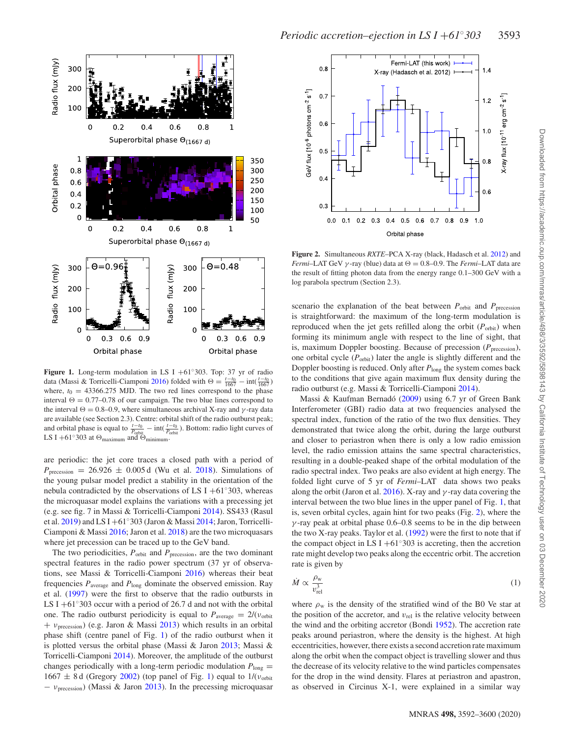<span id="page-1-0"></span>

**Figure 1.** Long-term modulation in LS I +61◦303. Top: 37 yr of radio data (Massi & Torricelli-Ciamponi [2016\)](#page-8-10) folded with  $\Theta = \frac{t - t_0}{1667} - \text{int}(\frac{t - t_0}{1667})$ where,  $t_0 = 43366.275$  MJD. The two red lines correspond to the phase interval  $\Theta = 0.77$ –0.78 of our campaign. The two blue lines correspond to the interval  $\Theta = 0.8$ –0.9, where simultaneous archival X-ray and  $\gamma$ -ray data are available (see Section 2.3). Centre: orbital shift of the radio outburst peak; and orbital phase is equal to  $\frac{t-t_0}{P_{\text{orbit}}} - \text{int}(\frac{t-t_0}{P_{\text{orbit}}})$ . Bottom: radio light curves of LS I +61 $\degree$ 303 at  $\Theta_{\text{maximum}}$  and  $\Theta_{\text{minimum}}$ .

are periodic: the jet core traces a closed path with a period of  $P_{\text{precession}} = 26.926 \pm 0.005 \,\mathrm{d}$  (Wu et al. [2018\)](#page-8-11). Simulations of the young pulsar model predict a stability in the orientation of the nebula contradicted by the observations of LS I +61 $\degree$ 303, whereas the microquasar model explains the variations with a precessing jet (e.g. see fig. 7 in Massi & Torricelli-Ciamponi [2014\)](#page-8-12). SS433 (Rasul et al. [2019\)](#page-8-13) and LS I +61◦303 (Jaron & Massi [2014;](#page-7-5) Jaron, Torricelli-Ciamponi & Massi [2016;](#page-7-6) Jaron et al. [2018\)](#page-8-14) are the two microquasars where jet precession can be traced up to the GeV band.

The two periodicities,  $P_{\text{orbit}}$  and  $P_{\text{precession}}$ , are the two dominant spectral features in the radio power spectrum (37 yr of observations, see Massi & Torricelli-Ciamponi [2016\)](#page-8-10) whereas their beat frequencies  $P_{\text{average}}$  and  $P_{\text{long}}$  dominate the observed emission. Ray et al. [\(1997\)](#page-8-15) were the first to observe that the radio outbursts in LS I +61<sup>°</sup>303 occur with a period of 26.7 d and not with the orbital one. The radio outburst periodicity is equal to  $P_{\text{average}} = 2/(v_{\text{orbit}})$ + *ν*precession) (e.g. Jaron & Massi [2013\)](#page-7-7) which results in an orbital phase shift (centre panel of Fig. [1\)](#page-1-0) of the radio outburst when it is plotted versus the orbital phase (Massi & Jaron [2013;](#page-8-16) Massi & Torricelli-Ciamponi [2014\)](#page-8-12). Moreover, the amplitude of the outburst changes periodically with a long-term periodic modulation  $P_{\text{long}} =$ 1667 ± 8 d (Gregory [2002\)](#page-7-1) (top panel of Fig. [1\)](#page-1-0) equal to 1/(*ν*orbit − *ν*precession) (Massi & Jaron [2013\)](#page-8-16). In the precessing microquasar

<span id="page-1-1"></span>

**Figure 2.** Simultaneous *RXTE*–PCA X-ray (black, Hadasch et al. [2012\)](#page-7-8) and *Fermi*–LAT GeV  $\gamma$ -ray (blue) data at  $\Theta = 0.8{\text -}0.9$ . The *Fermi*–LAT data are the result of fitting photon data from the energy range 0.1–300 GeV with a log parabola spectrum (Section 2.3).

scenario the explanation of the beat between  $P_{\text{orbit}}$  and  $P_{\text{precession}}$ is straightforward: the maximum of the long-term modulation is reproduced when the jet gets refilled along the orbit  $(P_{\text{orbit}})$  when forming its minimum angle with respect to the line of sight, that is, maximum Doppler boosting. Because of precession  $(P_{\text{precession}})$ , one orbital cycle  $(P_{orbit})$  later the angle is slightly different and the Doppler boosting is reduced. Only after  $P_{\text{long}}$  the system comes back to the conditions that give again maximum flux density during the radio outburst (e.g. Massi & Torricelli-Ciamponi [2014\)](#page-8-12).

Massi & Kaufman Bernadó  $(2009)$  $(2009)$  using 6.7 yr of Green Bank Interferometer (GBI) radio data at two frequencies analysed the spectral index, function of the ratio of the two flux densities. They demonstrated that twice along the orbit, during the large outburst and closer to periastron when there is only a low radio emission level, the radio emission attains the same spectral characteristics, resulting in a double-peaked shape of the orbital modulation of the radio spectral index. Two peaks are also evident at high energy. The folded light curve of 5 yr of *Fermi*–LAT data shows two peaks along the orbit (Jaron et al. [2016\)](#page-7-6). X-ray and *γ* -ray data covering the interval between the two blue lines in the upper panel of Fig. [1,](#page-1-0) that is, seven orbital cycles, again hint for two peaks (Fig. [2\)](#page-1-1), where the *γ* -ray peak at orbital phase 0.6–0.8 seems to be in the dip between the two X-ray peaks. Taylor et al. [\(1992\)](#page-8-17) were the first to note that if the compact object in LS I +61 $\degree$ 303 is accreting, then the accretion rate might develop two peaks along the eccentric orbit. The accretion rate is given by

$$
\dot{M} \propto \frac{\rho_{\rm w}}{v_{\rm rel}^3} \tag{1}
$$

where  $\rho_w$  is the density of the stratified wind of the B0 Ve star at the position of the accretor, and  $v_{rel}$  is the relative velocity between the wind and the orbiting accretor (Bondi [1952\)](#page-7-9). The accretion rate peaks around periastron, where the density is the highest. At high eccentricities, however, there exists a second accretion rate maximum along the orbit when the compact object is travelling slower and thus the decrease of its velocity relative to the wind particles compensates for the drop in the wind density. Flares at periastron and apastron, as observed in Circinus X-1, were explained in a similar way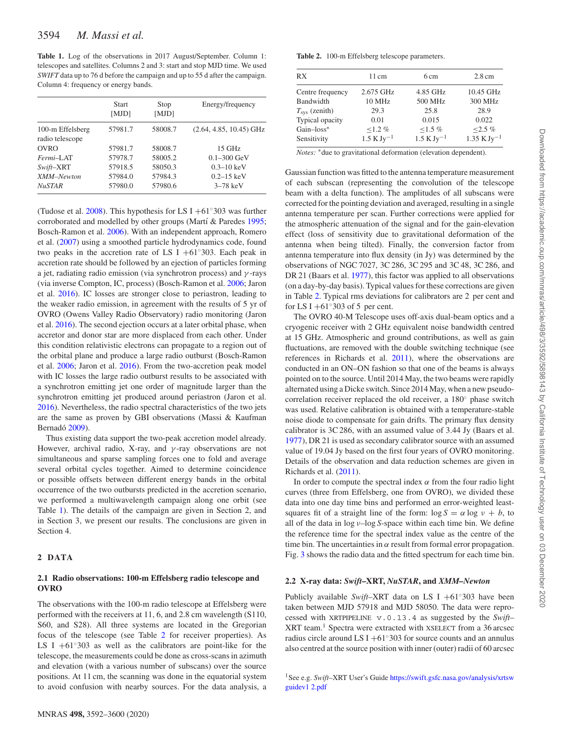<span id="page-2-0"></span>**Table 1.** Log of the observations in 2017 August/September. Column 1: telescopes and satellites. Columns 2 and 3: start and stop MJD time. We used *SWIFT* data up to 76 d before the campaign and up to 55 d after the campaign. Column 4: frequency or energy bands.

|                                     | <b>Start</b><br>[MJD] | Stop<br>[MJD] | Energy/frequency          |
|-------------------------------------|-----------------------|---------------|---------------------------|
| 100-m Effelsberg<br>radio telescope | 57981.7               | 58008.7       | $(2.64, 4.85, 10.45)$ GHz |
| <b>OVRO</b>                         | 57981.7               | 58008.7       | $15$ GHz                  |
| Fermi-LAT                           | 57978.7               | 58005.2       | $0.1 - 300 \text{ GeV}$   |
| Swift-XRT                           | 57918.5               | 58050.3       | $0.3 - 10 \text{ keV}$    |
| XMM-Newton                          | 57984.0               | 57984.3       | $0.2 - 15 \text{ keV}$    |
| <b>NuSTAR</b>                       | 57980.0               | 57980.6       | $3-78$ keV                |

(Tudose et al.  $2008$ ). This hypothesis for LS I +61°303 was further corroborated and modelled by other groups (Martí & Paredes [1995;](#page-8-19) Bosch-Ramon et al. [2006\)](#page-7-10). With an independent approach, Romero et al. [\(2007\)](#page-8-20) using a smoothed particle hydrodynamics code, found two peaks in the accretion rate of LS I  $+61°303$ . Each peak in accretion rate should be followed by an ejection of particles forming a jet, radiating radio emission (via synchrotron process) and *γ* -rays (via inverse Compton, IC, process) (Bosch-Ramon et al. [2006;](#page-7-10) Jaron et al. [2016\)](#page-7-6). IC losses are stronger close to periastron, leading to the weaker radio emission, in agreement with the results of 5 yr of OVRO (Owens Valley Radio Observatory) radio monitoring (Jaron et al. [2016\)](#page-7-6). The second ejection occurs at a later orbital phase, when accretor and donor star are more displaced from each other. Under this condition relativistic electrons can propagate to a region out of the orbital plane and produce a large radio outburst (Bosch-Ramon et al. [2006;](#page-7-10) Jaron et al. [2016\)](#page-7-6). From the two-accretion peak model with IC losses the large radio outburst results to be associated with a synchrotron emitting jet one order of magnitude larger than the synchrotron emitting jet produced around periastron (Jaron et al. [2016\)](#page-7-6). Nevertheless, the radio spectral characteristics of the two jets are the same as proven by GBI observations (Massi & Kaufman Bernadó [2009\)](#page-8-5).

Thus existing data support the two-peak accretion model already. However, archival radio, X-ray, and *γ* -ray observations are not simultaneous and sparse sampling forces one to fold and average several orbital cycles together. Aimed to determine coincidence or possible offsets between different energy bands in the orbital occurrence of the two outbursts predicted in the accretion scenario, we performed a multiwavelength campaign along one orbit (see Table [1\)](#page-2-0). The details of the campaign are given in Section 2, and in Section 3, we present our results. The conclusions are given in Section 4.

### **2 DATA**

## **2.1 Radio observations: 100-m Effelsberg radio telescope and OVRO**

The observations with the 100-m radio telescope at Effelsberg were performed with the receivers at 11, 6, and 2.8 cm wavelength (S110, S60, and S28). All three systems are located in the Gregorian focus of the telescope (see Table [2](#page-2-1) for receiver properties). As LS I  $+61°303$  as well as the calibrators are point-like for the telescope, the measurements could be done as cross-scans in azimuth and elevation (with a various number of subscans) over the source positions. At 11 cm, the scanning was done in the equatorial system to avoid confusion with nearby sources. For the data analysis, a

<span id="page-2-1"></span>**Table 2.** 100-m Effelsberg telescope parameters.

| RX                     | 11 cm                                       | 6 cm                                        | $2.8 \text{ cm}$                             |
|------------------------|---------------------------------------------|---------------------------------------------|----------------------------------------------|
| Centre frequency       | 2.675 GHz                                   | 4.85 GHz                                    | 10.45 GHz                                    |
| Bandwidth              | 10 MHz                                      | 500 MHz                                     | 300 MHz                                      |
| $T_{\rm sys}$ (zenith) | 29.3                                        | 25.8                                        | 28.9                                         |
| Typical opacity        | 0.01                                        | 0.015                                       | 0.022                                        |
| $Gain-loss^*$          | $1.2\%$                                     | $1.5 \%$                                    | $<2.5\%$                                     |
| Sensitivity            | $1.5 \mathrm{K} \mathrm{J} \mathrm{v}^{-1}$ | $1.5 \mathrm{K} \mathrm{J} \mathrm{v}^{-1}$ | $1.35 \mathrm{K} \mathrm{J} \mathrm{y}^{-1}$ |

*Notes:* \* due to gravitational deformation (elevation dependent).

Gaussian function was fitted to the antenna temperature measurement of each subscan (representing the convolution of the telescope beam with a delta function). The amplitudes of all subscans were corrected for the pointing deviation and averaged, resulting in a single antenna temperature per scan. Further corrections were applied for the atmospheric attenuation of the signal and for the gain-elevation effect (loss of sensitivity due to gravitational deformation of the antenna when being tilted). Finally, the conversion factor from antenna temperature into flux density (in Jy) was determined by the observations of NGC 7027, 3C 286, 3C 295 and 3C 48, 3C 286, and DR 21 (Baars et al. [1977\)](#page-7-11), this factor was applied to all observations (on a day-by-day basis). Typical values for these corrections are given in Table [2.](#page-2-1) Typical rms deviations for calibrators are 2 per cent and for LS I +61 $\degree$ 303 of 5 per cent.

The OVRO 40-M Telescope uses off-axis dual-beam optics and a cryogenic receiver with 2 GHz equivalent noise bandwidth centred at 15 GHz. Atmospheric and ground contributions, as well as gain fluctuations, are removed with the double switching technique (see references in Richards et al. [2011\)](#page-8-21), where the observations are conducted in an ON–ON fashion so that one of the beams is always pointed on to the source. Until 2014 May, the two beams were rapidly alternated using a Dicke switch. Since 2014 May, when a new pseudocorrelation receiver replaced the old receiver, a 180◦ phase switch was used. Relative calibration is obtained with a temperature-stable noise diode to compensate for gain drifts. The primary flux density calibrator is 3C 286, with an assumed value of 3.44 Jy (Baars et al. [1977\)](#page-7-11), DR 21 is used as secondary calibrator source with an assumed value of 19.04 Jy based on the first four years of OVRO monitoring. Details of the observation and data reduction schemes are given in Richards et al. [\(2011\)](#page-8-21).

In order to compute the spectral index  $\alpha$  from the four radio light curves (three from Effelsberg, one from OVRO), we divided these data into one day time bins and performed an error-weighted leastsquares fit of a straight line of the form:  $\log S = \alpha \log v + b$ , to all of the data in log *ν–*log *S*-space within each time bin. We define the reference time for the spectral index value as the centre of the time bin. The uncertainties in  $\alpha$  result from formal error propagation. Fig. [3](#page-3-0) shows the radio data and the fitted spectrum for each time bin.

## **2.2 X-ray data:** *Swift***–XRT,** *NuSTAR***, and** *XMM–Newton*

Publicly available *Swift*–XRT data on LS I +61◦303 have been taken between MJD 57918 and MJD 58050. The data were reprocessed with XRTPIPELINE v.0.13.4 as suggested by the *Swift*– XRT team.<sup>1</sup> Spectra were extracted with XSELECT from a 36 arcsec radius circle around LS I +61 $\degree$ 303 for source counts and an annulus also centred at the source position with inner (outer) radii of 60 arcsec

1See e.g. *Swift*–XRT User's Guide [https://swift.gsfc.nasa.gov/analysis/xrtsw](https://swift.gsfc.nasa.gov/analysis/xrtswguidev1 2.pdf ) guidev1 2.pdf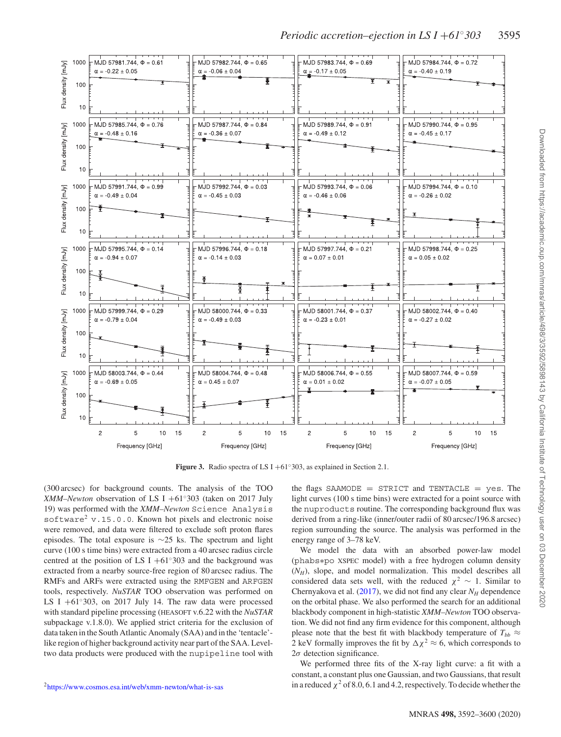<span id="page-3-0"></span>

**Figure 3.** Radio spectra of LS I +61◦303, as explained in Section 2.1.

(300 arcsec) for background counts. The analysis of the TOO *XMM–Newton* observation of LS I +61◦303 (taken on 2017 July 19) was performed with the *XMM–Newton* Science Analysis software<sup>2</sup> v.15.0.0. Known hot pixels and electronic noise were removed, and data were filtered to exclude soft proton flares episodes. The total exposure is ∼25 ks. The spectrum and light curve (100 s time bins) were extracted from a 40 arcsec radius circle centred at the position of LS I  $+61°303$  and the background was extracted from a nearby source-free region of 80 arcsec radius. The RMFs and ARFs were extracted using the RMFGEN and ARFGEN tools, respectively. *NuSTAR* TOO observation was performed on LS I  $+61°303$ , on 2017 July 14. The raw data were processed with standard pipeline processing (HEASOFT v.6.22 with the *NuSTAR* subpackage v.1.8.0). We applied strict criteria for the exclusion of data taken in the South Atlantic Anomaly (SAA) and in the 'tentacle' like region of higher background activity near part of the SAA. Leveltwo data products were produced with the nupipeline tool with

[2https://www.cosmos.esa.int/web/xmm-newton/what-is-sas](https://www.cosmos.esa.int/web/xmm-newton/what-is-sas)

the flags SAAMODE = STRICT and TENTACLE = yes. The light curves (100 s time bins) were extracted for a point source with the nuproducts routine. The corresponding background flux was derived from a ring-like (inner/outer radii of 80 arcsec/196.8 arcsec) region surrounding the source. The analysis was performed in the energy range of 3–78 keV.

We model the data with an absorbed power-law model (phabs∗po XSPEC model) with a free hydrogen column density  $(N_H)$ , slope, and model normalization. This model describes all considered data sets well, with the reduced  $\chi^2 \sim 1$ . Similar to Chernyakova et al.  $(2017)$ , we did not find any clear  $N_H$  dependence on the orbital phase. We also performed the search for an additional blackbody component in high-statistic *XMM–Newton* TOO observation. We did not find any firm evidence for this component, although please note that the best fit with blackbody temperature of  $T_{bb} \approx$ 2 keV formally improves the fit by  $\Delta \chi^2 \approx 6$ , which corresponds to  $2\sigma$  detection significance.

We performed three fits of the X-ray light curve: a fit with a constant, a constant plus one Gaussian, and two Gaussians, that result in a reduced  $\chi^2$  of 8.0, 6.1 and 4.2, respectively. To decide whether the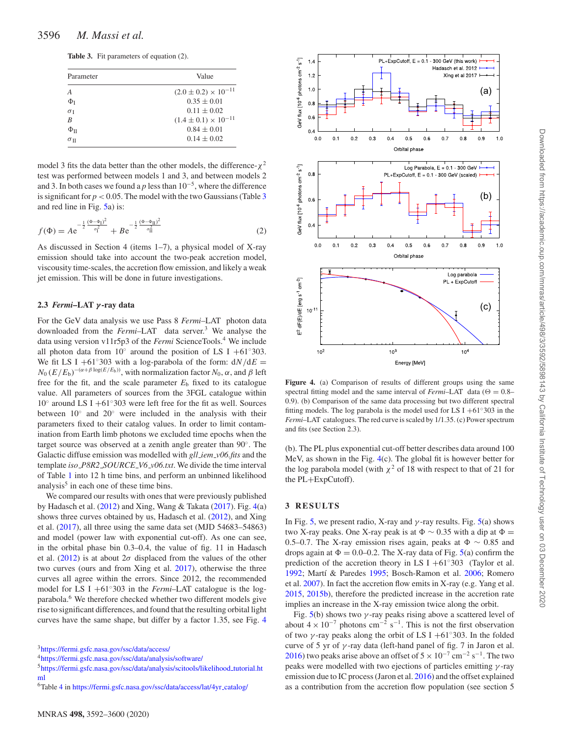<span id="page-4-0"></span>

|  | <b>Table 3.</b> Fit parameters of equation (2). |  |  |
|--|-------------------------------------------------|--|--|
|--|-------------------------------------------------|--|--|

| Parameter              | Value                           |  |
|------------------------|---------------------------------|--|
| $\boldsymbol{A}$       | $(2.0 \pm 0.2) \times 10^{-11}$ |  |
| $\Phi$ <sub>I</sub>    | $0.35 \pm 0.01$                 |  |
| $\sigma_{I}$           | $0.11 \pm 0.02$                 |  |
| B                      | $(1.4 \pm 0.1) \times 10^{-11}$ |  |
| $\Phi$ <sub>II</sub>   | $0.84 \pm 0.01$                 |  |
| $\sigma$ <sub>II</sub> | $0.14 \pm 0.02$                 |  |

model 3 fits the data better than the other models, the difference- $χ²$ test was performed between models 1 and 3, and between models 2 and 3. In both cases we found a *p* less than  $10^{-5}$ , where the difference is significant for  $p < 0.05$ . The model with the two Gaussians (Table [3](#page-4-0)) and red line in Fig. [5a](#page-5-0)) is:

$$
f(\Phi) = A e^{-\frac{1}{2} \frac{(\Phi - \Phi_{\text{I}})^2}{\sigma_{\text{I}}^2}} + B e^{-\frac{1}{2} \frac{(\Phi - \Phi_{\text{II}})^2}{\sigma_{\text{II}}^2}}
$$
(2)

As discussed in Section 4 (items 1–7), a physical model of X-ray emission should take into account the two-peak accretion model, viscousity time-scales, the accretion flow emission, and likely a weak jet emission. This will be done in future investigations.

#### **2.3** *Fermi***–LAT** *γ* **-ray data**

For the GeV data analysis we use Pass 8 *Fermi*–LAT photon data downloaded from the *Fermi*–LAT data server.<sup>3</sup> We analyse the data using version v11r5p3 of the *Fermi* ScienceTools.<sup>4</sup> We include all photon data from 10 $\degree$  around the position of LS I +61 $\degree$ 303. We fit LS I +61°303 with a log-parabola of the form:  $dN/dE =$  $N_0 (E/E_b)^{-(\alpha+\beta \log(E/E_b))}$ , with normalization factor  $N_0$ ,  $\alpha$ , and  $\beta$  left free for the fit, and the scale parameter  $E<sub>b</sub>$  fixed to its catalogue value. All parameters of sources from the 3FGL catalogue within 10◦ around LS I +61◦303 were left free for the fit as well. Sources between 10◦ and 20◦ were included in the analysis with their parameters fixed to their catalog values. In order to limit contamination from Earth limb photons we excluded time epochs when the target source was observed at a zenith angle greater than 90◦. The Galactic diffuse emission was modelled with *gll iem v06.fits* and the template *iso P8R2 SOURCE V6 v06.txt*. We divide the time interval of Table [1](#page-2-0) into 12 h time bins, and perform an unbinned likelihood analysis $<sup>5</sup>$  in each one of these time bins.</sup>

We compared our results with ones that were previously published by Hadasch et al. [\(2012\)](#page-7-8) and Xing, Wang & Takata [\(2017\)](#page-8-22). Fig. [4\(](#page-4-1)a) shows three curves obtained by us, Hadasch et al. [\(2012\)](#page-7-8), and Xing et al. [\(2017\)](#page-8-22), all three using the same data set (MJD 54683–54863) and model (power law with exponential cut-off). As one can see, in the orbital phase bin 0.3–0.4, the value of fig. 11 in Hadasch et al.  $(2012)$  is at about  $2\sigma$  displaced from the values of the other two curves (ours and from Xing et al. [2017\)](#page-8-22), otherwise the three curves all agree within the errors. Since 2012, the recommended model for LS I +61◦303 in the *Fermi*–LAT catalogue is the logparabola.<sup>6</sup> We therefore checked whether two different models give rise to significant differences, and found that the resulting orbital light curves have the same shape, but differ by a factor 1.35, see Fig. [4](#page-4-1)

[3https://fermi.gsfc.nasa.gov/ssc/data/access/](https://fermi.gsfc.nasa.gov/ssc/data/access/)

[4https://fermi.gsfc.nasa.gov/ssc/data/analysis/software/](https://fermi.gsfc.nasa.gov/ssc/data/analysis/software/)

[5https://fermi.gsfc.nasa.gov/ssc/data/analysis/scitools/likelihood](https://fermi.gsfc.nasa.gov/ssc/data/analysis/scitools/likelihood_tutorial.html)\_tutorial.ht ml

<span id="page-4-1"></span>

**Figure 4.** (a) Comparison of results of different groups using the same spectral fitting model and the same interval of *Fermi*–LAT data ( $\Theta = 0.8$ – 0.9). (b) Comparison of the same data processing but two different spectral fitting models. The log parabola is the model used for LS I +61 $\degree$ 303 in the *Fermi*–LAT catalogues. The red curve is scaled by 1/1.35. (c) Power spectrum and fits (see Section 2.3).

(b). The PL plus exponential cut-off better describes data around 100 MeV, as shown in the Fig. [4\(](#page-4-1)c). The global fit is however better for the log parabola model (with  $\chi^2$  of 18 with respect to that of 21 for the PL+ExpCutoff).

#### **3 RESULTS**

In Fig. [5,](#page-5-0) we present radio, X-ray and  $\gamma$ -ray results. Fig. [5\(](#page-5-0)a) shows two X-ray peaks. One X-ray peak is at  $\Phi \sim 0.35$  with a dip at  $\Phi =$ 0.5–0.7. The X-ray emission rises again, peaks at  $\Phi \sim 0.85$  and drops again at  $\Phi = 0.0{\text{-}}0.2$ . The X-ray data of Fig. [5\(](#page-5-0)a) confirm the prediction of the accretion theory in LS I +61°303 (Taylor et al. [1992;](#page-8-17) Martí & Paredes [1995;](#page-8-19) Bosch-Ramon et al. [2006;](#page-7-10) Romero et al. [2007\)](#page-8-20). In fact the accretion flow emits in X-ray (e.g. Yang et al. [2015,](#page-8-23) [2015b\)](#page-8-24), therefore the predicted increase in the accretion rate implies an increase in the X-ray emission twice along the orbit.

Fig.  $5(b)$  $5(b)$  shows two  $\gamma$ -ray peaks rising above a scattered level of about  $4 \times 10^{-7}$  photons cm<sup>-2</sup> s<sup>-1</sup>. This is not the first observation of two  $\gamma$ -ray peaks along the orbit of LS I +61°303. In the folded curve of 5 yr of *γ* -ray data (left-hand panel of fig. 7 in Jaron et al. [2016\)](#page-7-6) two peaks arise above an offset of  $5 \times 10^{-7}$  cm<sup>-2</sup> s<sup>-1</sup>. The two peaks were modelled with two ejections of particles emitting *γ* -ray emission due to IC process (Jaron et al. [2016\)](#page-7-6) and the offset explained as a contribution from the accretion flow population (see section 5

<sup>6</sup>Table [4](#page-5-1) in [https://fermi.gsfc.nasa.gov/ssc/data/access/lat/4yr](https://fermi.gsfc.nasa.gov/ssc/data/access/lat/4yr_catalog/) catalog/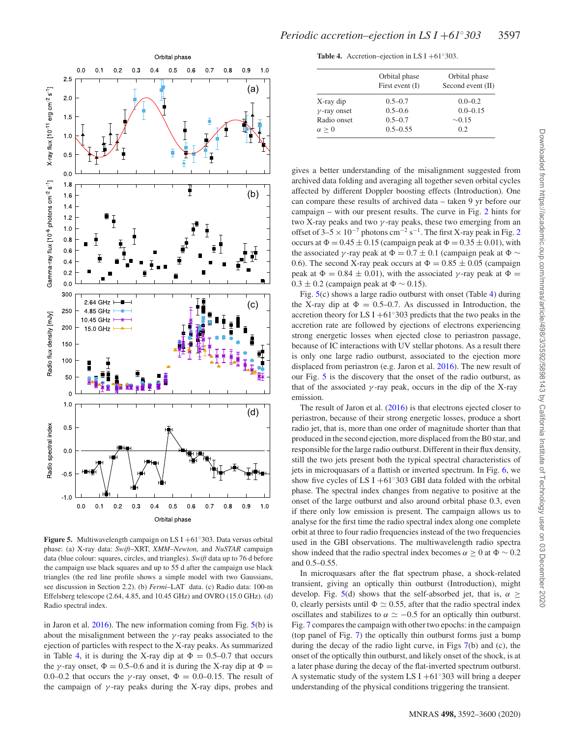<span id="page-5-0"></span>

**Figure 5.** Multiwavelength campaign on LS I +61◦303. Data versus orbital phase: (a) X-ray data: *Swift*–XRT, *XMM–Newton,* and *NuSTAR* campaign data (blue colour: squares, circles, and triangles). *Swift* data up to 76 d before the campaign use black squares and up to 55 d after the campaign use black triangles (the red line profile shows a simple model with two Gaussians, see discussion in Section 2.2). (b) *Fermi*–LAT data. (c) Radio data: 100-m Effelsberg telescope (2.64, 4.85, and 10.45 GHz) and OVRO (15.0 GHz). (d) Radio spectral index.

in Jaron et al.  $2016$ ). The new information coming from Fig.  $5(b)$  $5(b)$  is about the misalignment between the  $\gamma$ -ray peaks associated to the ejection of particles with respect to the X-ray peaks. As summarized in Table [4,](#page-5-1) it is during the X-ray dip at  $\Phi = 0.5{\text -}0.7$  that occurs the *γ*-ray onset,  $\Phi = 0.5$ –0.6 and it is during the X-ray dip at  $\Phi =$ 0.0–0.2 that occurs the *γ*-ray onset,  $\Phi = 0.0$ –0.15. The result of the campaign of  $\gamma$ -ray peaks during the X-ray dips, probes and

<span id="page-5-1"></span>**Table 4.** Accretion–ejection in LS I +61 $\degree$ 303.

|                     | Orbital phase<br>First event $(I)$ | Orbital phase<br>Second event $(II)$ |
|---------------------|------------------------------------|--------------------------------------|
| X-ray dip           | $0.5 - 0.7$                        | $0.0 - 0.2$                          |
| $\gamma$ -ray onset | $0.5 - 0.6$                        | $0.0 - 0.15$                         |
| Radio onset         | $0.5 - 0.7$                        | $\sim 0.15$                          |
| $\alpha > 0$        | $0.5 - 0.55$                       | 0.2                                  |

gives a better understanding of the misalignment suggested from archived data folding and averaging all together seven orbital cycles affected by different Doppler boosting effects (Introduction). One can compare these results of archived data – taken 9 yr before our campaign – with our present results. The curve in Fig. [2](#page-1-1) hints for two X-ray peaks and two *γ* -ray peaks, these two emerging from an offset of 3–5 × 10<sup>-7</sup> photons cm<sup>-[2](#page-1-1)</sup> s<sup>-1</sup>. The first X-ray peak in Fig. 2 occurs at  $\Phi = 0.45 \pm 0.15$  (campaign peak at  $\Phi = 0.35 \pm 0.01$ ), with the associated *γ* -ray peak at  $\Phi = 0.7 \pm 0.1$  (campaign peak at  $\Phi \sim$ 0.6). The second X-ray peak occurs at  $\Phi = 0.85 \pm 0.05$  (campaign peak at  $Φ = 0.84 ± 0.01$ , with the associated *γ*-ray peak at  $Φ =$  $0.3 \pm 0.2$  (campaign peak at  $\Phi \sim 0.15$ ).

Fig. [5\(](#page-5-0)c) shows a large radio outburst with onset (Table [4\)](#page-5-1) during the X-ray dip at  $\Phi = 0.5{\text -}0.7$ . As discussed in Introduction, the accretion theory for LS I +61 $\degree$ 303 predicts that the two peaks in the accretion rate are followed by ejections of electrons experiencing strong energetic losses when ejected close to periastron passage, because of IC interactions with UV stellar photons. As a result there is only one large radio outburst, associated to the ejection more displaced from periastron (e.g. Jaron et al. [2016\)](#page-7-6). The new result of our Fig. [5](#page-5-0) is the discovery that the onset of the radio outburst, as that of the associated  $\gamma$ -ray peak, occurs in the dip of the X-ray emission.

The result of Jaron et al. [\(2016\)](#page-7-6) is that electrons ejected closer to periastron, because of their strong energetic losses, produce a short radio jet, that is, more than one order of magnitude shorter than that produced in the second ejection, more displaced from the B0 star, and responsible for the large radio outburst. Different in their flux density, still the two jets present both the typical spectral characteristics of jets in microquasars of a flattish or inverted spectrum. In Fig. [6,](#page-6-0) we show five cycles of LS I  $+61°303$  GBI data folded with the orbital phase. The spectral index changes from negative to positive at the onset of the large outburst and also around orbital phase 0.3, even if there only low emission is present. The campaign allows us to analyse for the first time the radio spectral index along one complete orbit at three to four radio frequencies instead of the two frequencies used in the GBI observations. The multiwavelength radio spectra show indeed that the radio spectral index becomes  $\alpha \ge 0$  at  $\Phi \sim 0.2$ and 0.5–0.55.

In microquasars after the flat spectrum phase, a shock-related transient, giving an optically thin outburst (Introduction), might develop. Fig. [5\(](#page-5-0)d) shows that the self-absorbed jet, that is,  $\alpha \geq$ 0, clearly persists until  $\Phi \simeq 0.55$ , after that the radio spectral index oscillates and stabilizes to  $\alpha \simeq -0.5$  for an optically thin outburst. Fig. [7](#page-6-1) compares the campaign with other two epochs: in the campaign (top panel of Fig. [7\)](#page-6-1) the optically thin outburst forms just a bump during the decay of the radio light curve, in Figs [7\(](#page-6-1)b) and (c), the onset of the optically thin outburst, and likely onset of the shock, is at a later phase during the decay of the flat-inverted spectrum outburst. A systematic study of the system LS I +61°303 will bring a deeper understanding of the physical conditions triggering the transient.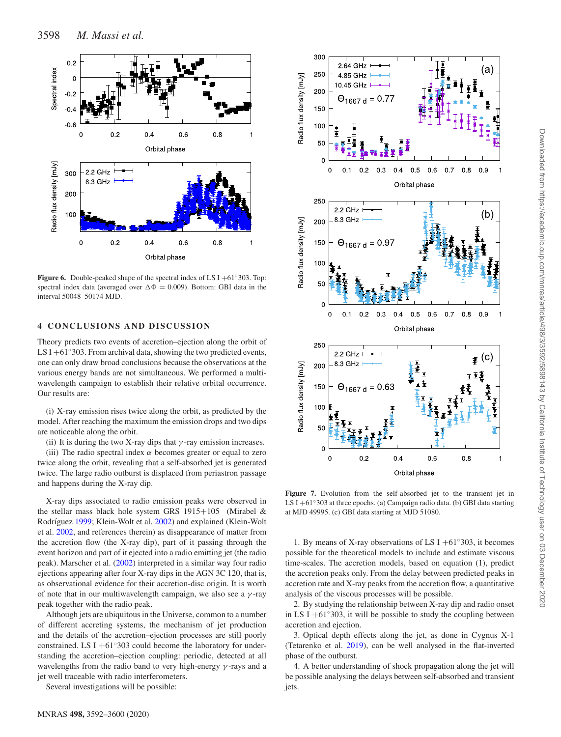<span id="page-6-0"></span>

**Figure 6.** Double-peaked shape of the spectral index of LS I +61◦303. Top: spectral index data (averaged over  $\Delta \Phi = 0.009$ ). Bottom: GBI data in the interval 50048–50174 MJD.

## **4 CONCLUSIONS AND DISCUSSION**

Theory predicts two events of accretion–ejection along the orbit of LS I +61 $\degree$ 303. From archival data, showing the two predicted events, one can only draw broad conclusions because the observations at the various energy bands are not simultaneous. We performed a multiwavelength campaign to establish their relative orbital occurrence. Our results are:

(i) X-ray emission rises twice along the orbit, as predicted by the model. After reaching the maximum the emission drops and two dips are noticeable along the orbit.

(ii) It is during the two X-ray dips that  $\gamma$ -ray emission increases.

(iii) The radio spectral index *α* becomes greater or equal to zero twice along the orbit, revealing that a self-absorbed jet is generated twice. The large radio outburst is displaced from periastron passage and happens during the X-ray dip.

X-ray dips associated to radio emission peaks were observed in the stellar mass black hole system GRS  $1915+105$  (Mirabel & Rodríguez [1999;](#page-8-25) Klein-Wolt et al. [2002\)](#page-8-26) and explained (Klein-Wolt et al. [2002,](#page-8-26) and references therein) as disappearance of matter from the accretion flow (the X-ray dip), part of it passing through the event horizon and part of it ejected into a radio emitting jet (the radio peak). Marscher et al. [\(2002\)](#page-8-27) interpreted in a similar way four radio ejections appearing after four X-ray dips in the AGN 3C 120, that is, as observational evidence for their accretion-disc origin. It is worth of note that in our multiwavelength campaign, we also see a *γ* -ray peak together with the radio peak.

Although jets are ubiquitous in the Universe, common to a number of different accreting systems, the mechanism of jet production and the details of the accretion–ejection processes are still poorly constrained. LS I +61 $\degree$ 303 could become the laboratory for understanding the accretion–ejection coupling: periodic, detected at all wavelengths from the radio band to very high-energy *γ* -rays and a jet well traceable with radio interferometers.

Several investigations will be possible:

<span id="page-6-1"></span>

Figure 7. Evolution from the self-absorbed jet to the transient jet in LS I +61◦303 at three epochs. (a) Campaign radio data. (b) GBI data starting at MJD 49995. (c) GBI data starting at MJD 51080.

1. By means of X-ray observations of LS I +61 $\degree$ 303, it becomes possible for the theoretical models to include and estimate viscous time-scales. The accretion models, based on equation (1), predict the accretion peaks only. From the delay between predicted peaks in accretion rate and X-ray peaks from the accretion flow, a quantitative analysis of the viscous processes will be possible.

2. By studying the relationship between X-ray dip and radio onset in LS I +61 $\degree$ 303, it will be possible to study the coupling between accretion and ejection.

3. Optical depth effects along the jet, as done in Cygnus X-1 (Tetarenko et al. [2019\)](#page-8-28), can be well analysed in the flat-inverted phase of the outburst.

4. A better understanding of shock propagation along the jet will be possible analysing the delays between self-absorbed and transient jets.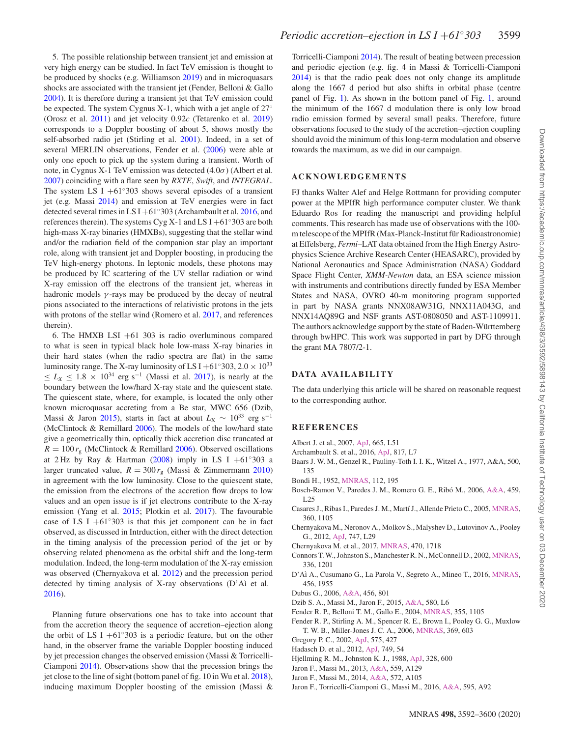5. The possible relationship between transient jet and emission at very high energy can be studied. In fact TeV emission is thought to be produced by shocks (e.g. Williamson [2019\)](#page-8-29) and in microquasars shocks are associated with the transient jet (Fender, Belloni & Gallo [2004\)](#page-7-13). It is therefore during a transient jet that TeV emission could be expected. The system Cygnus X-1, which with a jet angle of 27◦ (Orosz et al. [2011\)](#page-8-30) and jet velocity 0.92*c* (Tetarenko et al. [2019\)](#page-8-28) corresponds to a Doppler boosting of about 5, shows mostly the self-absorbed radio jet (Stirling et al. [2001\)](#page-8-31). Indeed, in a set of several MERLIN observations, Fender et al. [\(2006\)](#page-7-14) were able at only one epoch to pick up the system during a transient. Worth of note, in Cygnus X-1 TeV emission was detected (4.0*σ*) (Albert et al. [2007\)](#page-7-15) coinciding with a flare seen by *RXTE*, *Swift*, and *INTEGRAL*. The system LS I  $+61°303$  shows several episodes of a transient jet (e.g. Massi [2014\)](#page-8-32) and emission at TeV energies were in fact detected several times in LS I +61 $\degree$ 303 (Archambault et al. [2016,](#page-7-16) and references therein). The systems Cyg X-1 and LS I +61◦303 are both high-mass X-ray binaries (HMXBs), suggesting that the stellar wind and/or the radiation field of the companion star play an important role, along with transient jet and Doppler boosting, in producing the TeV high-energy photons. In leptonic models, these photons may be produced by IC scattering of the UV stellar radiation or wind X-ray emission off the electrons of the transient jet, whereas in hadronic models *γ* -rays may be produced by the decay of neutral pions associated to the interactions of relativistic protons in the jets with protons of the stellar wind (Romero et al. [2017,](#page-8-33) and references therein).

6. The HMXB LSI  $+61$  303 is radio overluminous compared to what is seen in typical black hole low-mass X-ray binaries in their hard states (when the radio spectra are flat) in the same luminosity range. The X-ray luminosity of LS I +61°303, 2.0  $\times$  10<sup>33</sup>  $≤ L_X ≤ 1.8 × 10<sup>34</sup> erg s<sup>-1</sup>$  (Massi et al. [2017\)](#page-8-2), is nearly at the boundary between the low/hard X-ray state and the quiescent state. The quiescent state, where, for example, is located the only other known microquasar accreting from a Be star, MWC 656 (Dzib, Massi & Jaron [2015\)](#page-7-17), starts in fact at about  $L_X \sim 10^{33}$  erg s<sup>-1</sup> (McClintock & Remillard [2006\)](#page-8-34). The models of the low/hard state give a geometrically thin, optically thick accretion disc truncated at  $R = 100 r<sub>g</sub>$  (McClintock & Remillard [2006\)](#page-8-34). Observed oscillations at 2 Hz by Ray & Hartman [\(2008\)](#page-8-35) imply in LS I +61°303 a larger truncated value,  $R = 300 r_{\rm g}$  (Massi & Zimmermann [2010\)](#page-8-36) in agreement with the low luminosity. Close to the quiescent state, the emission from the electrons of the accretion flow drops to low values and an open issue is if jet electrons contribute to the X-ray emission (Yang et al. [2015;](#page-8-23) Plotkin et al. [2017\)](#page-8-37). The favourable case of LS I  $+61°303$  is that this jet component can be in fact observed, as discussed in Intrduction, either with the direct detection in the timing analysis of the precession period of the jet or by observing related phenomena as the orbital shift and the long-term modulation. Indeed, the long-term modulation of the X-ray emission was observed (Chernyakova et al. [2012\)](#page-7-18) and the precession period detected by timing analysis of X-ray observations (D'Aì et al. [2016\)](#page-7-19).

Planning future observations one has to take into account that from the accretion theory the sequence of accretion–ejection along the orbit of LS I +61<sup>°</sup>303 is a periodic feature, but on the other hand, in the observer frame the variable Doppler boosting induced by jet precession changes the observed emission (Massi & Torricelli-Ciamponi [2014\)](#page-8-12). Observations show that the precession brings the jet close to the line of sight (bottom panel of fig. 10 in Wu et al. [2018\)](#page-8-11), inducing maximum Doppler boosting of the emission (Massi &

Torricelli-Ciamponi [2014\)](#page-8-12). The result of beating between precession and periodic ejection (e.g. fig. 4 in Massi & Torricelli-Ciamponi [2014\)](#page-8-12) is that the radio peak does not only change its amplitude along the 1667 d period but also shifts in orbital phase (centre panel of Fig. [1\)](#page-1-0). As shown in the bottom panel of Fig. [1,](#page-1-0) around the minimum of the 1667 d modulation there is only low broad radio emission formed by several small peaks. Therefore, future observations focused to the study of the accretion–ejection coupling should avoid the minimum of this long-term modulation and observe towards the maximum, as we did in our campaign.

#### **ACKNOWLEDGEMENTS**

FJ thanks Walter Alef and Helge Rottmann for providing computer power at the MPIfR high performance computer cluster. We thank Eduardo Ros for reading the manuscript and providing helpful comments. This research has made use of observations with the 100 m telescope of the MPIfR (Max-Planck-Institut für Radioastronomie) at Effelsberg, *Fermi*–LAT data obtained from the High Energy Astrophysics Science Archive Research Center (HEASARC), provided by National Aeronautics and Space Administration (NASA) Goddard Space Flight Center, *XMM-Newton* data, an ESA science mission with instruments and contributions directly funded by ESA Member States and NASA, OVRO 40-m monitoring program supported in part by NASA grants NNX08AW31G, NNX11A043G, and NNX14AQ89G and NSF grants AST-0808050 and AST-1109911. The authors acknowledge support by the state of Baden-Württemberg through bwHPC. This work was supported in part by DFG through the grant MA 7807/2-1.

#### **DATA AVA IL AB IL IT Y**

The data underlying this article will be shared on reasonable request to the corresponding author.

#### **REFERENCES**

- <span id="page-7-15"></span>Albert J. et al., 2007, [ApJ,](http://dx.doi.org/10.1086/521145) 665, L51
- <span id="page-7-16"></span>Archambault S. et al., 2016, [ApJ,](http://dx.doi.org/10.3847/2041-8205/817/1/L7) 817, L7
- <span id="page-7-11"></span>Baars J. W. M., Genzel R., Pauliny-Toth I. I. K., Witzel A., 1977, A&A, 500, 135
- <span id="page-7-9"></span>Bondi H., 1952, [MNRAS,](http://dx.doi.org/10.1093/mnras/112.2.195) 112, 195
- <span id="page-7-10"></span>Bosch-Ramon V., Paredes J. M., Romero G. E., Ribó M., 2006, [A&A,](http://dx.doi.org/10.1051/0004-6361:20065830) 459, L25
- <span id="page-7-0"></span>Casares J., Ribas I., Paredes J. M., Mart´ı J., Allende Prieto C., 2005, [MNRAS,](http://dx.doi.org/10.1111/j.1365-2966.2005.09106.x) 360, 1105
- <span id="page-7-18"></span>Chernyakova M., Neronov A., Molkov S., Malyshev D., Lutovinov A., Pooley G., 2012, [ApJ,](http://dx.doi.org/10.1088/2041-8205/747/2/L29) 747, L29
- <span id="page-7-12"></span>Chernyakova M. et al., 2017, [MNRAS,](http://dx.doi.org/10.1093/mnras/stx1335) 470, 1718
- <span id="page-7-3"></span>Connors T. W., Johnston S., Manchester R. N., McConnell D., 2002, [MNRAS,](http://dx.doi.org/10.1046/j.1365-8711.2002.05850.x) 336, 1201
- <span id="page-7-19"></span>D'Aì A., Cusumano G., La Parola V., Segreto A., Mineo T., 2016, [MNRAS,](http://dx.doi.org/ 10.1093/mnras/stv2716) 456, 1955
- <span id="page-7-2"></span>Dubus G., 2006, [A&A,](http://dx.doi.org/10.1051/0004-6361:20054779) 456, 801
- <span id="page-7-17"></span>Dzib S. A., Massi M., Jaron F., 2015, [A&A,](http://dx.doi.org/10.1051/0004-6361/201526867) 580, L6
- <span id="page-7-13"></span>Fender R. P., Belloni T. M., Gallo E., 2004, [MNRAS,](http://dx.doi.org/10.1111/j.1365-2966.2004.08384.x) 355, 1105
- <span id="page-7-14"></span>Fender R. P., Stirling A. M., Spencer R. E., Brown I., Pooley G. G., Muxlow T. W. B., Miller-Jones J. C. A., 2006, [MNRAS,](http://dx.doi.org/10.1111/j.1365-2966.2006.10193.x) 369, 603
- <span id="page-7-1"></span>Gregory P. C., 2002, [ApJ,](http://dx.doi.org/10.1086/341257) 575, 427
- <span id="page-7-8"></span>Hadasch D. et al., 2012, [ApJ,](http://dx.doi.org/10.1088/0004-637X/749/1/54) 749, 54
- <span id="page-7-4"></span>Hjellming R. M., Johnston K. J., 1988, [ApJ,](http://dx.doi.org/10.1086/166318) 328, 600
- <span id="page-7-7"></span>Jaron F., Massi M., 2013, [A&A,](http://dx.doi.org/10.1051/0004-6361/201322557) 559, A129
- <span id="page-7-5"></span>Jaron F., Massi M., 2014, [A&A,](http://dx.doi.org/10.1051/0004-6361/201423994) 572, A105
- <span id="page-7-6"></span>Jaron F., Torricelli-Ciamponi G., Massi M., 2016, [A&A,](http://dx.doi.org/10.1051/0004-6361/201628556) 595, A92